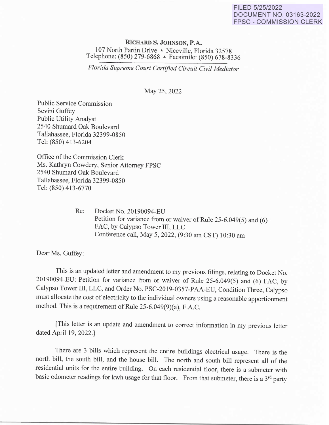## FILED 5/25/2022 DOCUMENT NO. 03163-2022 FPSC - COMMISSION CLERK

**RICHARDS. JOHNSON, P.A.**  107 North Partin Drive A Niceville, Florida 32578 Telephone: (850) 279-6868 · Facsimile: (850) 678-8336

*Florida Supreme Court Certified Circuit Civil Mediator* 

May 25, 2022

Public Service Commission Sevini Guffey Public Utility Analyst 2540 Shumard Oak Boulevard Tallahassee, Florida 32399-0850 Tel: (850) 413-6204

Office of the Commission Clerk Ms. Kathryn Cowdery, Senior Attorney FPSC 2540 Shumard Oak Boulevard Tallahassee, Florida 32399-0850 Tel: (850) 413-6770

> Re: Docket No. 20190094-EU Petition for variance from or waiver of Rule 25-6.049(5) and (6) FAC, by Calypso Tower III, LLC Conference call, May 5, 2022, (9:30 am CST) 10:30 am

Dear Ms. Guffey:

This is an updated letter and amendment to my previous filings, relating to Docket No. 20190094-EU: Petition for variance from or waiver of Rule 25-6.049(5) and (6) FAC, by Calypso Tower III, LLC, and Order No. PSC-2019-0357-PAA-EU, Condition Three, Calypso must allocate the cost of electricity to the individual owners using a reasonable apportionment method. This is a requirement of Rule 25-6.049(9)(a), F.A.C.

[This letter is an update and amendment to correct information in my previous letter dated April 19, 2022.J

There are 3 bills which represent the entire buildings electrical usage. There is the north bill, the south bill, and the house bill. The north and south bill represent all of the residential units for the entire building. On each residential floor, there is a submeter with basic odometer readings for kwh usage for that floor. From that submeter, there is a 3<sup>rd</sup> party